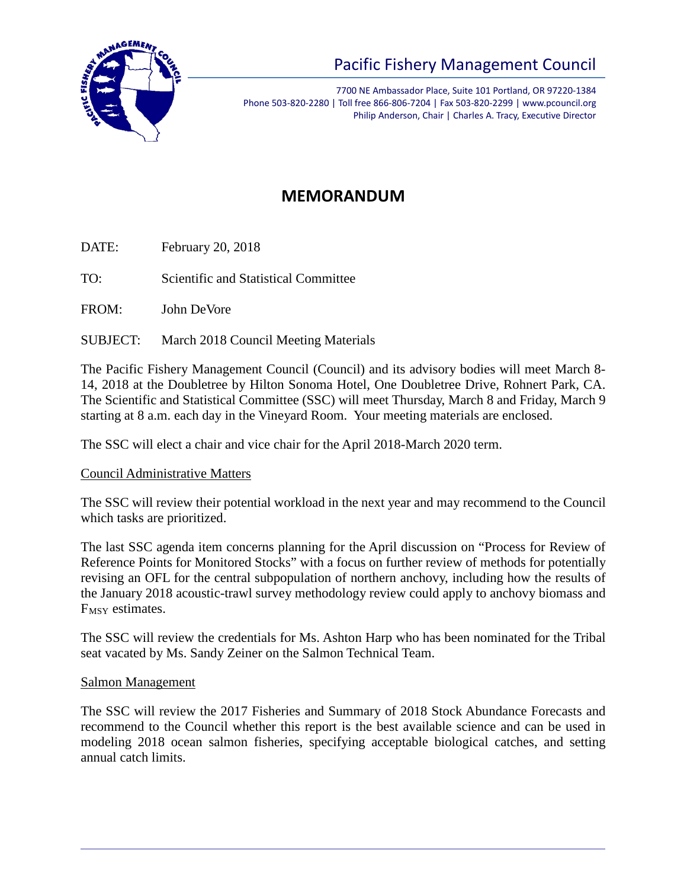

# Pacific Fishery Management Council

7700 NE Ambassador Place, Suite 101 Portland, OR 97220-1384 Phone 503-820-2280 | Toll free 866-806-7204 | Fax 503-820-2299 | www.pcouncil.org Philip Anderson, Chair | Charles A. Tracy, Executive Director

## **MEMORANDUM**

DATE: February 20, 2018

TO: Scientific and Statistical Committee

FROM: John DeVore

SUBJECT: March 2018 Council Meeting Materials

The Pacific Fishery Management Council (Council) and its advisory bodies will meet March 8- 14, 2018 at the Doubletree by Hilton Sonoma Hotel, One Doubletree Drive, Rohnert Park, CA. The Scientific and Statistical Committee (SSC) will meet Thursday, March 8 and Friday, March 9 starting at 8 a.m. each day in the Vineyard Room. Your meeting materials are enclosed.

The SSC will elect a chair and vice chair for the April 2018-March 2020 term.

#### Council Administrative Matters

The SSC will review their potential workload in the next year and may recommend to the Council which tasks are prioritized.

The last SSC agenda item concerns planning for the April discussion on "Process for Review of Reference Points for Monitored Stocks" with a focus on further review of methods for potentially revising an OFL for the central subpopulation of northern anchovy, including how the results of the January 2018 acoustic-trawl survey methodology review could apply to anchovy biomass and F<sub>MSY</sub> estimates.

The SSC will review the credentials for Ms. Ashton Harp who has been nominated for the Tribal seat vacated by Ms. Sandy Zeiner on the Salmon Technical Team.

#### Salmon Management

The SSC will review the 2017 Fisheries and Summary of 2018 Stock Abundance Forecasts and recommend to the Council whether this report is the best available science and can be used in modeling 2018 ocean salmon fisheries, specifying acceptable biological catches, and setting annual catch limits.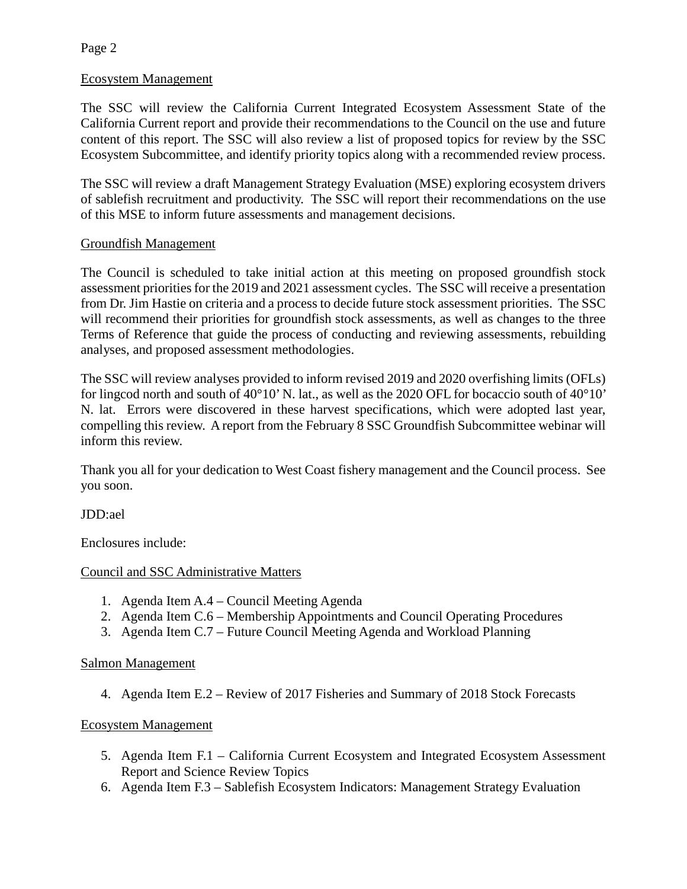Page 2

#### Ecosystem Management

The SSC will review the California Current Integrated Ecosystem Assessment State of the California Current report and provide their recommendations to the Council on the use and future content of this report. The SSC will also review a list of proposed topics for review by the SSC Ecosystem Subcommittee, and identify priority topics along with a recommended review process.

The SSC will review a draft Management Strategy Evaluation (MSE) exploring ecosystem drivers of sablefish recruitment and productivity. The SSC will report their recommendations on the use of this MSE to inform future assessments and management decisions.

#### Groundfish Management

The Council is scheduled to take initial action at this meeting on proposed groundfish stock assessment priorities for the 2019 and 2021 assessment cycles. The SSC will receive a presentation from Dr. Jim Hastie on criteria and a process to decide future stock assessment priorities. The SSC will recommend their priorities for groundfish stock assessments, as well as changes to the three Terms of Reference that guide the process of conducting and reviewing assessments, rebuilding analyses, and proposed assessment methodologies.

The SSC will review analyses provided to inform revised 2019 and 2020 overfishing limits (OFLs) for lingcod north and south of 40°10' N. lat., as well as the 2020 OFL for bocaccio south of 40°10' N. lat. Errors were discovered in these harvest specifications, which were adopted last year, compelling this review. A report from the February 8 SSC Groundfish Subcommittee webinar will inform this review.

Thank you all for your dedication to West Coast fishery management and the Council process. See you soon.

JDD:ael

Enclosures include:

#### Council and SSC Administrative Matters

- 1. Agenda Item A.4 Council Meeting Agenda
- 2. Agenda Item C.6 Membership Appointments and Council Operating Procedures
- 3. Agenda Item C.7 Future Council Meeting Agenda and Workload Planning

#### Salmon Management

4. Agenda Item E.2 – Review of 2017 Fisheries and Summary of 2018 Stock Forecasts

#### Ecosystem Management

- 5. Agenda Item F.1 California Current Ecosystem and Integrated Ecosystem Assessment Report and Science Review Topics
- 6. Agenda Item F.3 Sablefish Ecosystem Indicators: Management Strategy Evaluation